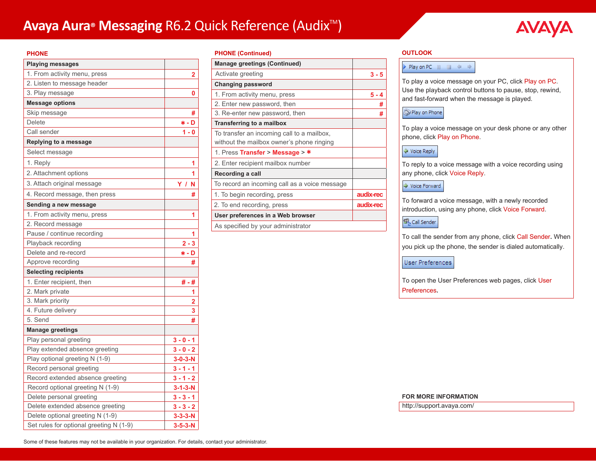# **Avaya Aura® Messaging** R6.2 Quick Reference (Audix<sup>™</sup>)



#### **PHONE**

| <b>Playing messages</b>                 |                         |
|-----------------------------------------|-------------------------|
| 1. From activity menu, press            | $\overline{\mathbf{2}}$ |
| 2. Listen to message header             |                         |
| 3. Play message                         | 0                       |
| <b>Message options</b>                  |                         |
| Skip message                            | #                       |
| Delete                                  | * - D                   |
| Call sender                             | $1 - 0$                 |
| Replying to a message                   |                         |
| Select message                          |                         |
| 1. Reply                                | 1                       |
| 2. Attachment options                   | 1                       |
| 3. Attach original message              | ΥI<br>N                 |
| 4. Record message, then press           | #                       |
| Sending a new message                   |                         |
| 1. From activity menu, press            | 1                       |
| 2. Record message                       |                         |
| Pause / continue recording              | 1                       |
| Playback recording                      | $2 - 3$                 |
| Delete and re-record                    | * - D                   |
| Approve recording                       | #                       |
| <b>Selecting recipients</b>             |                         |
| 1. Enter recipient, then                | #-#                     |
| 2. Mark private                         | 1                       |
| 3. Mark priority                        | 2                       |
| 4. Future delivery                      | 3                       |
| 5. Send                                 | #                       |
| <b>Manage greetings</b>                 |                         |
| Play personal greeting                  | $3 - 0 - 1$             |
| Play extended absence greeting          | $3 - 0 - 2$             |
| Play optional greeting N (1-9)          | $3 - 0 - 3 - N$         |
| Record personal greeting                | $3 - 1 - 1$             |
| Record extended absence greeting        | $3 - 1 - 2$             |
| Record optional greeting N (1-9)        | $3 - 1 - 3 - N$         |
| Delete personal greeting                | $3 - 3 - 1$             |
| Delete extended absence greeting        | $3 - 3 - 2$             |
| Delete optional greeting N (1-9)        | $3 - 3 - 3 - N$         |
| Set rules for optional greeting N (1-9) | $3 - 5 - 3 - N$         |

#### **PHONE (Continued)**

| <b>Manage greetings (Continued)</b>                                                     |           |
|-----------------------------------------------------------------------------------------|-----------|
| Activate greeting                                                                       | $3 - 5$   |
| <b>Changing password</b>                                                                |           |
| 1. From activity menu, press                                                            | 5 - 4     |
| 2. Enter new password, then                                                             | #         |
| 3. Re-enter new password, then                                                          | #         |
| Transferring to a mailbox                                                               |           |
| To transfer an incoming call to a mailbox,<br>without the mailbox owner's phone ringing |           |
| 1. Press Transfer > Message > $*$                                                       |           |
| 2. Enter recipient mailbox number                                                       |           |
| Recording a call                                                                        |           |
| To record an incoming call as a voice message                                           |           |
| 1. To begin recording, press                                                            | audix-rec |
| 2. To end recording, press                                                              | audix-rec |
| User preferences in a Web browser                                                       |           |
| As specified by your administrator                                                      |           |

#### **OUTLOOK**

#### 

To play a voice message on your PC, click Play on PC. Use the playback control buttons to pause, stop, rewind, and fast-forward when the message is played.

## Play on Phone

To play a voice message on your desk phone or any other phone, click Play on Phone.

♦ Voice Reply

To reply to a voice message with a voice recording using any phone, click Voice Reply.

## → Voice Forward

To forward a voice message, with a newly recorded introduction, using any phone, click Voice Forward.

# $\mathbf{G}_{\mathrm{R}}^{\mathrm{I}}$  Call Sender

To call the sender from any phone, click Call Sender**.** When you pick up the phone, the sender is dialed automatically.

User Preferences

To open the User Preferences web pages, click User Preferences**.**

#### **FOR MORE INFORMATION**

http://support.avaya.com/